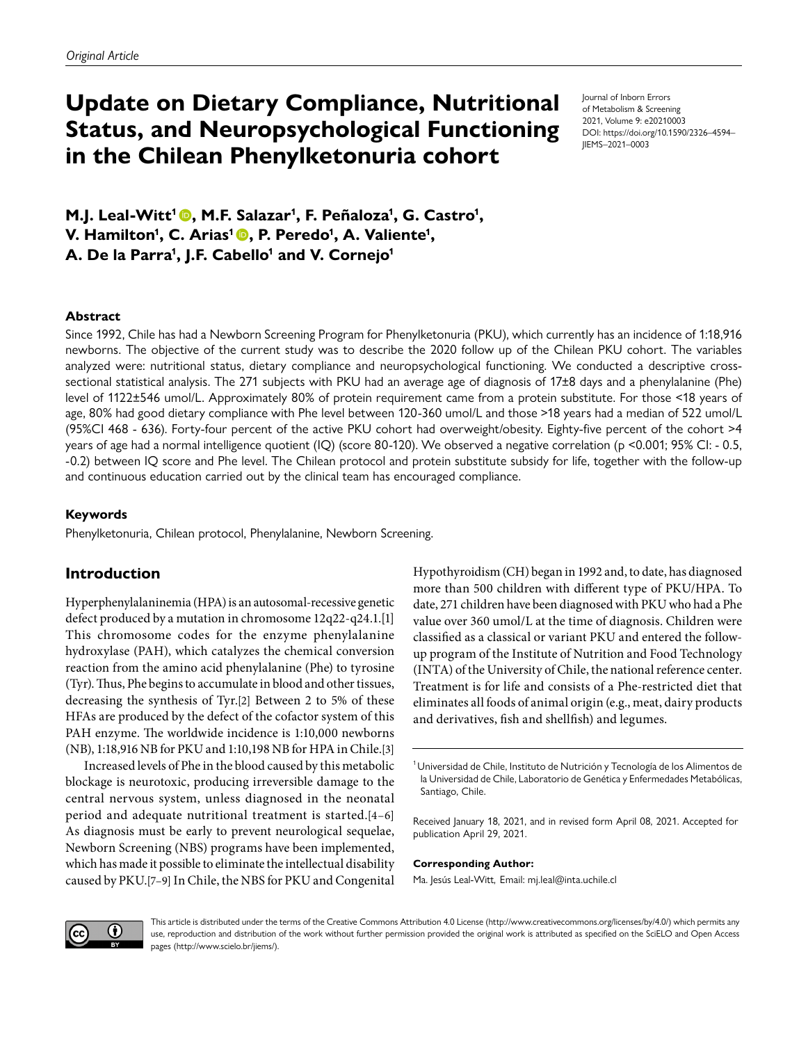# **Update on Dietary Compliance, Nutritional Status, and Neuropsychological Functioning in the Chilean Phenylketonuria cohort**

Journal of Inborn Errors of Metabolism & Screening 2021, Volume 9: e20210003 DOI: https://doi.org/10.1590/2326–4594– JIEMS–2021–0003

**M.J. Leal-Witt<sup>1</sup> ©, M.F. Salazar<sup>1</sup>, F. Peñaloza<sup>1</sup>, G. Castro<sup>1</sup>, V. Hamilton1 , C. Arias1, P. Peredo1 , A. Valiente1 ,** A. De la Parra<sup>1</sup>, J.F. Cabello<sup>1</sup> and V. Cornejo<sup>1</sup>

#### **Abstract**

Since 1992, Chile has had a Newborn Screening Program for Phenylketonuria (PKU), which currently has an incidence of 1:18,916 newborns. The objective of the current study was to describe the 2020 follow up of the Chilean PKU cohort. The variables analyzed were: nutritional status, dietary compliance and neuropsychological functioning. We conducted a descriptive crosssectional statistical analysis. The 271 subjects with PKU had an average age of diagnosis of 17±8 days and a phenylalanine (Phe) level of 1122±546 umol/L. Approximately 80% of protein requirement came from a protein substitute. For those <18 years of age, 80% had good dietary compliance with Phe level between 120-360 umol/L and those >18 years had a median of 522 umol/L (95%CI 468 - 636). Forty-four percent of the active PKU cohort had overweight/obesity. Eighty-five percent of the cohort >4 years of age had a normal intelligence quotient (IQ) (score 80-120). We observed a negative correlation (p <0.001; 95% CI: - 0.5, -0.2) between IQ score and Phe level. The Chilean protocol and protein substitute subsidy for life, together with the follow-up and continuous education carried out by the clinical team has encouraged compliance.

#### **Keywords**

Phenylketonuria, Chilean protocol, Phenylalanine, Newborn Screening.

# **Introduction**

Hyperphenylalaninemia (HPA) is an autosomal-recessive genetic defect produced by a mutation in chromosome 12q22-q24.1.[\[1\]](#page-6-0) This chromosome codes for the enzyme phenylalanine hydroxylase (PAH), which catalyzes the chemical conversion reaction from the amino acid phenylalanine (Phe) to tyrosine (Tyr). Thus, Phe begins to accumulate in blood and other tissues, decreasing the synthesis of Tyr.[\[2\]](#page-6-0) Between 2 to 5% of these HFAs are produced by the defect of the cofactor system of this PAH enzyme. The worldwide incidence is 1:10,000 newborns (NB), 1:18,916 NB for PKU and 1:10,198 NB for HPA in Chile.[\[3\]](#page-6-1)

Increased levels of Phe in the blood caused by this metabolic blockage is neurotoxic, producing irreversible damage to the central nervous system, unless diagnosed in the neonatal period and adequate nutritional treatment is started.[[4](#page-6-2)–[6\]](#page-7-0) As diagnosis must be early to prevent neurological sequelae, Newborn Screening (NBS) programs have been implemented, which has made it possible to eliminate the intellectual disability caused by PKU.[\[7](#page-7-1)–[9\]](#page-7-2) In Chile, the NBS for PKU and Congenital

Hypothyroidism (CH) began in 1992 and, to date, has diagnosed more than 500 children with different type of PKU/HPA. To date, 271 children have been diagnosed with PKU who had a Phe value over 360 umol/L at the time of diagnosis. Children were classified as a classical or variant PKU and entered the followup program of the Institute of Nutrition and Food Technology (INTA) of the University of Chile, the national reference center. Treatment is for life and consists of a Phe-restricted diet that eliminates all foods of animal origin (e.g., meat, dairy products and derivatives, fish and shellfish) and legumes.

Received January 18, 2021, and in revised form April 08, 2021. Accepted for publication April 29, 2021.

#### **Corresponding Author:**

Ma. Jesús Leal-Witt, Email: mj.leal@inta.uchile.cl



This article is distributed under the terms of the Creative Commons Attribution 4.0 License (http://www.creativecommons.org/licenses/by/4.0/) which permits any use, reproduction and distribution of the work without further permission provided the original work is attributed as specified on the SciELO and Open Access pages (http://www.scielo.br/jiems/).

<sup>&</sup>lt;sup>1</sup> Universidad de Chile, Instituto de Nutrición y Tecnología de los Alimentos de la Universidad de Chile, Laboratorio de Genética y Enfermedades Metabólicas, Santiago, Chile.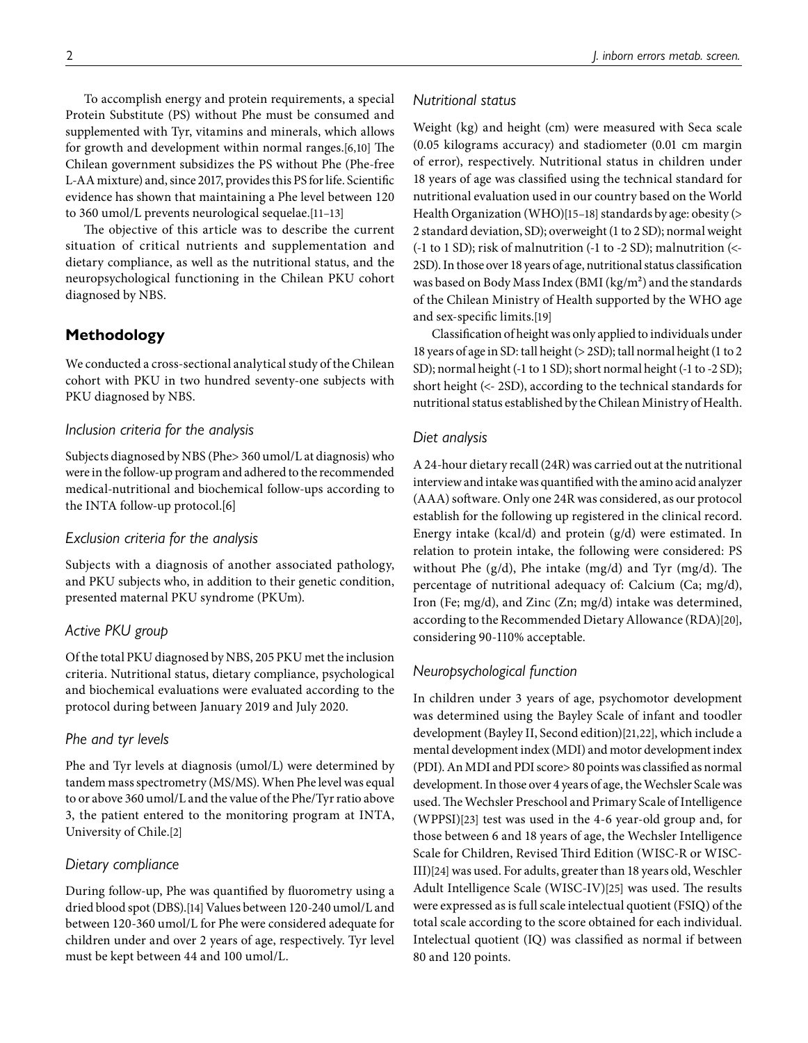To accomplish energy and protein requirements, a special Protein Substitute (PS) without Phe must be consumed and supplemented with Tyr, vitamins and minerals, which allows for growth and development within normal ranges.[[6](#page-7-0)[,10](#page-7-3)] The Chilean government subsidizes the PS without Phe (Phe-free L-AA mixture) and, since 2017, provides this PS for life. Scientific evidence has shown that maintaining a Phe level between 120 to 360 umol/L prevents neurological sequelae.[\[11](#page-7-4)–[13\]](#page-7-5)

The objective of this article was to describe the current situation of critical nutrients and supplementation and dietary compliance, as well as the nutritional status, and the neuropsychological functioning in the Chilean PKU cohort diagnosed by NBS.

# **Methodology**

We conducted a cross-sectional analytical study of the Chilean cohort with PKU in two hundred seventy-one subjects with PKU diagnosed by NBS.

# *Inclusion criteria for the analysis*

Subjects diagnosed by NBS (Phe> 360 umol/L at diagnosis) who were in the follow-up program and adhered to the recommended medical-nutritional and biochemical follow-ups according to the INTA follow-up protocol.[\[6\]](#page-7-0)

# *Exclusion criteria for the analysis*

Subjects with a diagnosis of another associated pathology, and PKU subjects who, in addition to their genetic condition, presented maternal PKU syndrome (PKUm).

# *Active PKU group*

Of the total PKU diagnosed by NBS, 205 PKU met the inclusion criteria. Nutritional status, dietary compliance, psychological and biochemical evaluations were evaluated according to the protocol during between January 2019 and July 2020.

# *Phe and tyr levels*

Phe and Tyr levels at diagnosis (umol/L) were determined by tandem mass spectrometry (MS/MS). When Phe level was equal to or above 360 umol/L and the value of the Phe/Tyr ratio above 3, the patient entered to the monitoring program at INTA, University of Chile.[\[2](#page-6-0)]

# *Dietary compliance*

During follow-up, Phe was quantified by fluorometry using a dried blood spot (DBS).[\[14](#page-7-6)] Values between 120-240 umol/L and between 120-360 umol/L for Phe were considered adequate for children under and over 2 years of age, respectively. Tyr level must be kept between 44 and 100 umol/L.

### *Nutritional status*

Weight (kg) and height (cm) were measured with Seca scale (0.05 kilograms accuracy) and stadiometer (0.01 cm margin of error), respectively. Nutritional status in children under 18 years of age was classified using the technical standard for nutritional evaluation used in our country based on the World Health Organization (WHO)[\[15](#page-7-7)[–18\]](#page-7-8) standards by age: obesity (> 2 standard deviation, SD); overweight (1 to 2 SD); normal weight (-1 to 1 SD); risk of malnutrition (-1 to -2 SD); malnutrition (<- 2SD). In those over 18 years of age, nutritional status classification was based on Body Mass Index (BMI (kg/m²) and the standards of the Chilean Ministry of Health supported by the WHO age and sex-specific limits.[\[19](#page-7-9)]

Classification of height was only applied to individuals under 18 years of age in SD: tall height (> 2SD); tall normal height (1 to 2 SD); normal height (-1 to 1 SD); short normal height (-1 to -2 SD); short height (<- 2SD), according to the technical standards for nutritional status established by the Chilean Ministry of Health.

# *Diet analysis*

A 24-hour dietary recall (24R) was carried out at the nutritional interview and intake was quantified with the amino acid analyzer (AAA) software. Only one 24R was considered, as our protocol establish for the following up registered in the clinical record. Energy intake (kcal/d) and protein (g/d) were estimated. In relation to protein intake, the following were considered: PS without Phe (g/d), Phe intake (mg/d) and Tyr (mg/d). The percentage of nutritional adequacy of: Calcium (Ca; mg/d), Iron (Fe; mg/d), and Zinc (Zn; mg/d) intake was determined, according to the Recommended Dietary Allowance (RDA)[\[20](#page-7-10)], considering 90-110% acceptable.

# *Neuropsychological function*

In children under 3 years of age, psychomotor development was determined using the Bayley Scale of infant and toodler development (Bayley II, Second edition)[[21,](#page-7-11)[22](#page-7-12)], which include a mental development index (MDI) and motor development index (PDI). An MDI and PDI score> 80 points was classified as normal development. In those over 4 years of age, the Wechsler Scale was used. The Wechsler Preschool and Primary Scale of Intelligence (WPPSI)[\[23](#page-7-13)] test was used in the 4-6 year-old group and, for those between 6 and 18 years of age, the Wechsler Intelligence Scale for Children, Revised Third Edition (WISC-R or WISC-III)[\[24\]](#page-7-14) was used. For adults, greater than 18 years old, Weschler Adult Intelligence Scale (WISC-IV)[[25\]](#page-7-15) was used. The results were expressed as is full scale intelectual quotient (FSIQ) of the total scale according to the score obtained for each individual. Intelectual quotient (IQ) was classified as normal if between 80 and 120 points.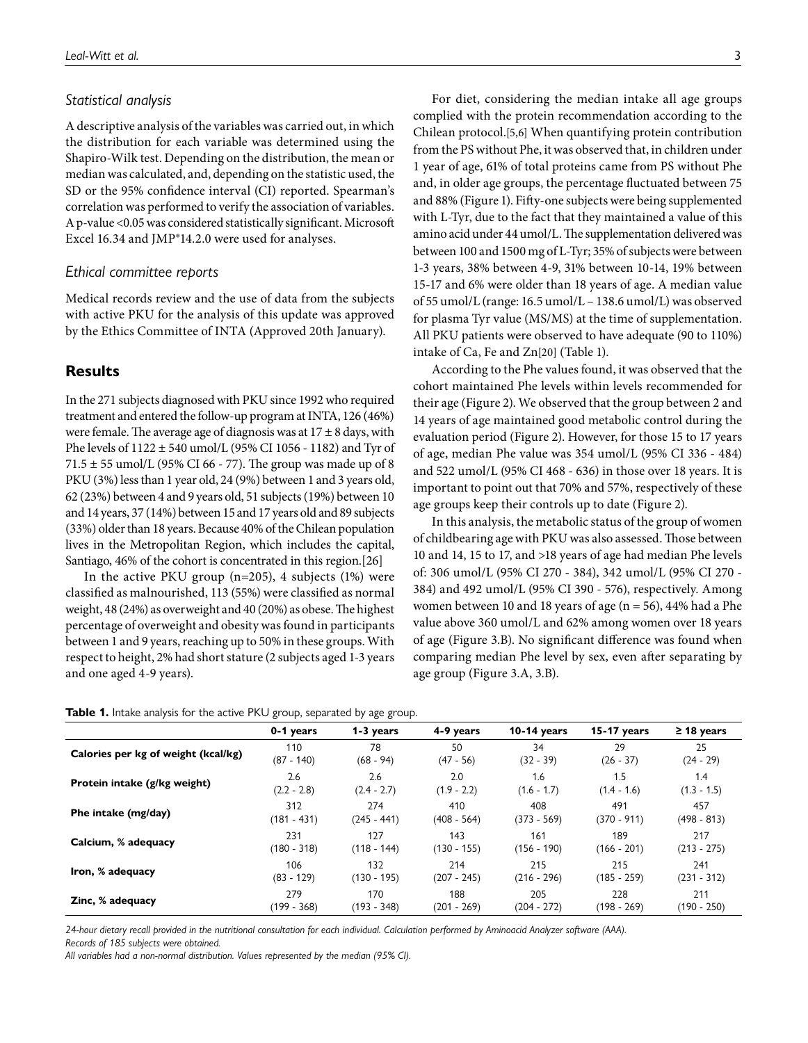#### *Statistical analysis*

A descriptive analysis of the variables was carried out, in which the distribution for each variable was determined using the Shapiro-Wilk test. Depending on the distribution, the mean or median was calculated, and, depending on the statistic used, the SD or the 95% confidence interval (CI) reported. Spearman's correlation was performed to verify the association of variables. A p-value <0.05 was considered statistically significant. Microsoft Excel 16.34 and JMP®14.2.0 were used for analyses.

#### *Ethical committee reports*

Medical records review and the use of data from the subjects with active PKU for the analysis of this update was approved by the Ethics Committee of INTA (Approved 20th January).

#### **Results**

In the 271 subjects diagnosed with PKU since 1992 who required treatment and entered the follow-up program at INTA, 126 (46%) were female. The average age of diagnosis was at  $17 \pm 8$  days, with Phe levels of 1122 ± 540 umol/L (95% CI 1056 - 1182) and Tyr of 71.5  $\pm$  55 umol/L (95% CI 66 - 77). The group was made up of 8 PKU (3%) less than 1 year old, 24 (9%) between 1 and 3 years old, 62 (23%) between 4 and 9 years old, 51 subjects (19%) between 10 and 14 years, 37 (14%) between 15 and 17 years old and 89 subjects (33%) older than 18 years. Because 40% of the Chilean population lives in the Metropolitan Region, which includes the capital, Santiago, 46% of the cohort is concentrated in this region.[[26](#page-7-16)]

In the active PKU group  $(n=205)$ , 4 subjects  $(1%)$  were classified as malnourished, 113 (55%) were classified as normal weight, 48 (24%) as overweight and 40 (20%) as obese. The highest percentage of overweight and obesity was found in participants between 1 and 9 years, reaching up to 50% in these groups. With respect to height, 2% had short stature (2 subjects aged 1-3 years and one aged 4-9 years).

For diet, considering the median intake all age groups complied with the protein recommendation according to the Chilean protocol.[\[5,](#page-6-3)[6\]](#page-7-0) When quantifying protein contribution from the PS without Phe, it was observed that, in children under 1 year of age, 61% of total proteins came from PS without Phe and, in older age groups, the percentage fluctuated between 75 and 88% [\(Figure 1\)](#page-3-0). Fifty-one subjects were being supplemented with L-Tyr, due to the fact that they maintained a value of this amino acid under 44 umol/L. The supplementation delivered was between 100 and 1500 mg of L-Tyr; 35% of subjects were between 1-3 years, 38% between 4-9, 31% between 10-14, 19% between 15-17 and 6% were older than 18 years of age. A median value of 55 umol/L (range: 16.5 umol/L – 138.6 umol/L) was observed for plasma Tyr value (MS/MS) at the time of supplementation. All PKU patients were observed to have adequate (90 to 110%) intake of Ca, Fe and Zn[[20](#page-7-10)] [\(Table 1](#page-2-0)).

According to the Phe values found, it was observed that the cohort maintained Phe levels within levels recommended for their age [\(Figure 2\)](#page-3-1). We observed that the group between 2 and 14 years of age maintained good metabolic control during the evaluation period [\(Figure 2\)](#page-3-1). However, for those 15 to 17 years of age, median Phe value was 354 umol/L (95% CI 336 - 484) and 522 umol/L (95% CI 468 - 636) in those over 18 years. It is important to point out that 70% and 57%, respectively of these age groups keep their controls up to date [\(Figure 2\)](#page-3-1).

In this analysis, the metabolic status of the group of women of childbearing age with PKU was also assessed. Those between 10 and 14, 15 to 17, and >18 years of age had median Phe levels of: 306 umol/L (95% CI 270 - 384), 342 umol/L (95% CI 270 - 384) and 492 umol/L (95% CI 390 - 576), respectively. Among women between 10 and 18 years of age (n = 56), 44% had a Phe value above 360 umol/L and 62% among women over 18 years of age [\(Figure 3.](#page-4-0)B). No significant difference was found when comparing median Phe level by sex, even after separating by age group ([Figure 3.](#page-4-0)A, 3.B).

<span id="page-2-0"></span>

| Table 1. Intake analysis for the active PKU group, separated by age group. |  |
|----------------------------------------------------------------------------|--|
|----------------------------------------------------------------------------|--|

|                                     |               | ິ             |               |               |               |                 |
|-------------------------------------|---------------|---------------|---------------|---------------|---------------|-----------------|
|                                     | 0-1 years     | 1-3 years     | 4-9 years     | $10-14$ years | $15-17$ years | $\geq$ 18 years |
| Calories per kg of weight (kcal/kg) | 110           | 78            | 50            | 34            | 29            | 25              |
|                                     | $(87 - 140)$  | $(68 - 94)$   | $(47 - 56)$   | $(32 - 39)$   | $(26 - 37)$   | $(24 - 29)$     |
| Protein intake (g/kg weight)        | 2.6           | 2.6           | 2.0           | 1.6           | 1.5           | 1.4             |
|                                     | $(2.2 - 2.8)$ | $(2.4 - 2.7)$ | $(1.9 - 2.2)$ | $(1.6 - 1.7)$ | $(1.4 - 1.6)$ | $(1.3 - 1.5)$   |
| Phe intake (mg/day)                 | 312           | 274           | 410           | 408           | 491           | 457             |
|                                     | $(181 - 431)$ | (245 - 441)   | $(408 - 564)$ | $(373 - 569)$ | $(370 - 911)$ | $(498 - 813)$   |
| Calcium, % adequacy                 | 231           | 127           | 143           | 161           | 189           | 217             |
|                                     | $(180 - 318)$ | $(118 - 144)$ | (130 - 155)   | $(156 - 190)$ | $(166 - 201)$ | $(213 - 275)$   |
| Iron, % adequacy                    | 106           | 132           | 214           | 215           | 215           | 241             |
|                                     | $(83 - 129)$  | $(130 - 195)$ | $(207 - 245)$ | $(216 - 296)$ | $(185 - 259)$ | $(231 - 312)$   |
| Zinc, % adequacy                    | 279           | 170           | 188           | 205           | 228           | 211             |
|                                     | $(199 - 368)$ | $(193 - 348)$ | $(201 - 269)$ | $(204 - 272)$ | (198 - 269)   | $(190 - 250)$   |

*24-hour dietary recall provided in the nutritional consultation for each individual. Calculation performed by Aminoacid Analyzer software (AAA). Records of 185 subjects were obtained.*

*All variables had a non-normal distribution. Values represented by the median (95% CI).*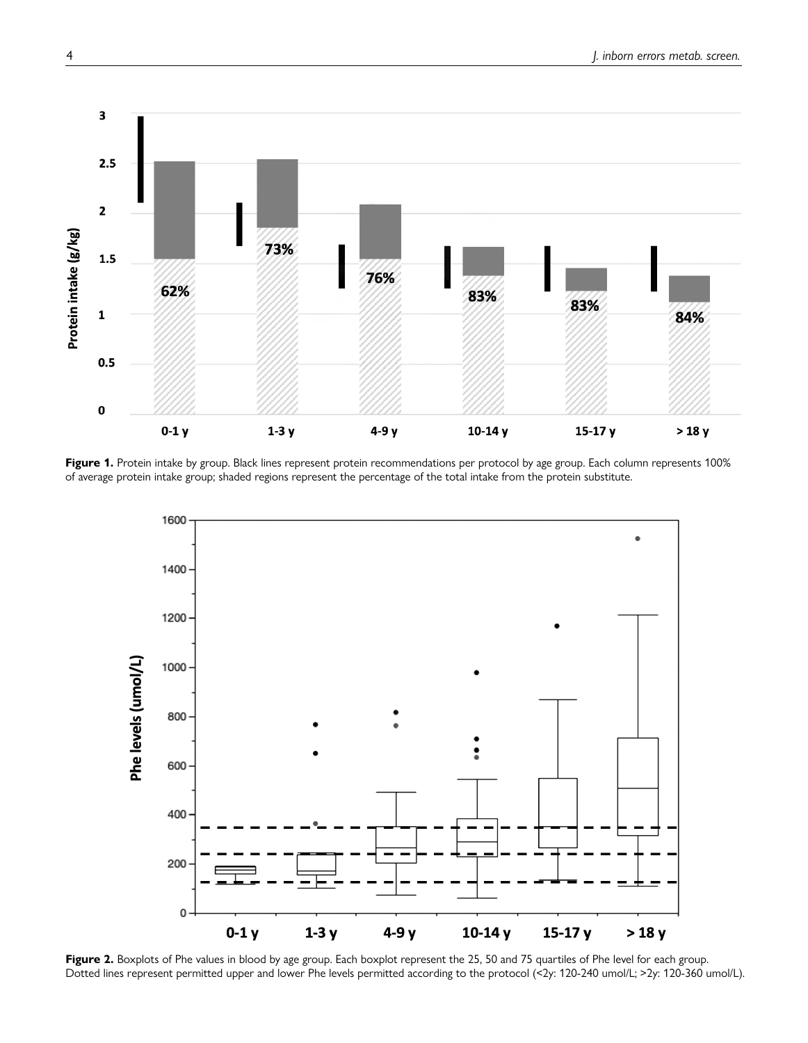

<span id="page-3-0"></span>Figure 1. Protein intake by group. Black lines represent protein recommendations per protocol by age group. Each column represents 100% of average protein intake group; shaded regions represent the percentage of the total intake from the protein substitute.



<span id="page-3-1"></span>Figure 2. Boxplots of Phe values in blood by age group. Each boxplot represent the 25, 50 and 75 quartiles of Phe level for each group. Dotted lines represent permitted upper and lower Phe levels permitted according to the protocol (<2y: 120-240 umol/L; >2y: 120-360 umol/L).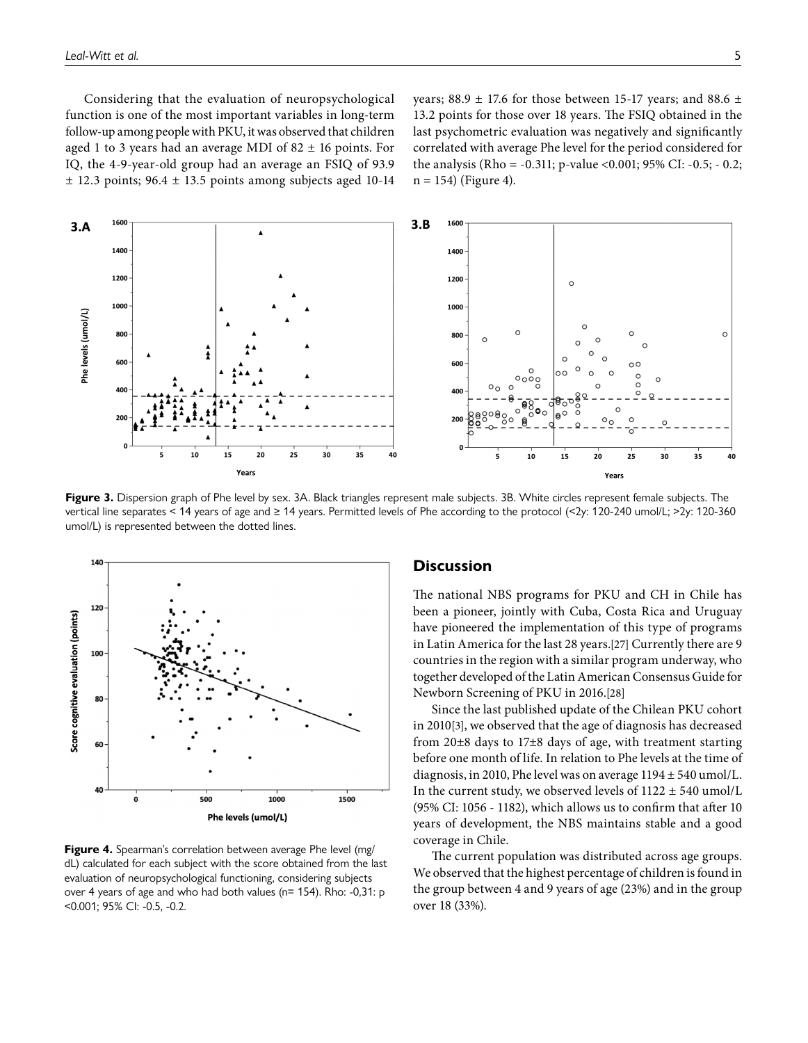Considering that the evaluation of neuropsychological function is one of the most important variables in long-term follow-up among people with PKU, it was observed that children aged 1 to 3 years had an average MDI of  $82 \pm 16$  points. For IQ, the 4-9-year-old group had an average an FSIQ of 93.9  $\pm$  12.3 points; 96.4  $\pm$  13.5 points among subjects aged 10-14 years; 88.9  $\pm$  17.6 for those between 15-17 years; and 88.6  $\pm$ 13.2 points for those over 18 years. The FSIQ obtained in the last psychometric evaluation was negatively and significantly correlated with average Phe level for the period considered for the analysis (Rho = -0.311; p-value <0.001; 95% CI: -0.5; - 0.2;  $n = 154$ ) [\(Figure 4\)](#page-4-1).



<span id="page-4-0"></span>Figure 3. Dispersion graph of Phe level by sex. 3A. Black triangles represent male subjects. 3B. White circles represent female subjects. The vertical line separates < 14 years of age and ≥ 14 years. Permitted levels of Phe according to the protocol (<2y: 120-240 umol/L; >2y: 120-360 umol/L) is represented between the dotted lines.



<span id="page-4-1"></span>**Figure 4.** Spearman's correlation between average Phe level (mg/ dL) calculated for each subject with the score obtained from the last evaluation of neuropsychological functioning, considering subjects over 4 years of age and who had both values (n= 154). Rho: -0,31: p <0.001; 95% CI: -0.5, -0.2.

#### **Discussion**

The national NBS programs for PKU and CH in Chile has been a pioneer, jointly with Cuba, Costa Rica and Uruguay have pioneered the implementation of this type of programs in Latin America for the last 28 years.[\[27\]](#page-7-17) Currently there are 9 countries in the region with a similar program underway, who together developed of the Latin American Consensus Guide for Newborn Screening of PKU in 2016.[\[28\]](#page-7-18)

Since the last published update of the Chilean PKU cohort in 2010[\[3\]](#page-6-1), we observed that the age of diagnosis has decreased from 20±8 days to 17±8 days of age, with treatment starting before one month of life. In relation to Phe levels at the time of diagnosis, in 2010, Phe level was on average 1194 ± 540 umol/L. In the current study, we observed levels of  $1122 \pm 540$  umol/L (95% CI: 1056 - 1182), which allows us to confirm that after 10 years of development, the NBS maintains stable and a good coverage in Chile.

The current population was distributed across age groups. We observed that the highest percentage of children is found in the group between 4 and 9 years of age (23%) and in the group over 18 (33%).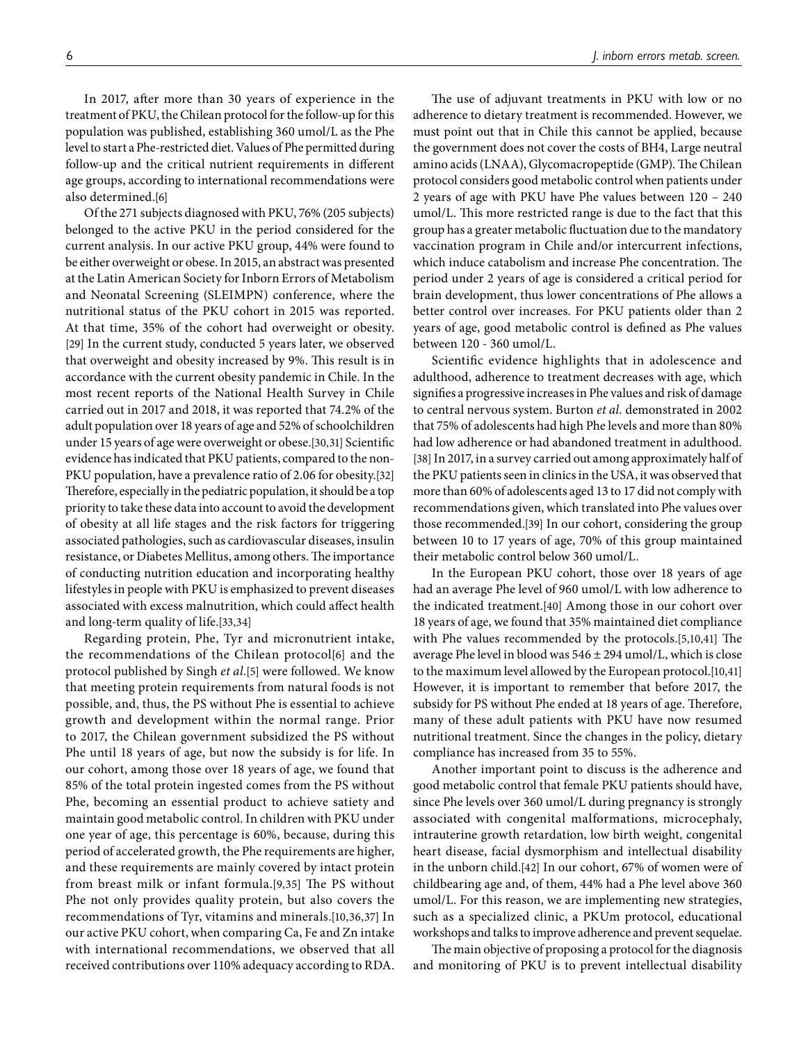In 2017, after more than 30 years of experience in the treatment of PKU, the Chilean protocol for the follow-up for this population was published, establishing 360 umol/L as the Phe level to start a Phe-restricted diet. Values of Phe permitted during follow-up and the critical nutrient requirements in different age groups, according to international recommendations were also determined.[\[6](#page-7-0)]

Of the 271 subjects diagnosed with PKU, 76% (205 subjects) belonged to the active PKU in the period considered for the current analysis. In our active PKU group, 44% were found to be either overweight or obese. In 2015, an abstract was presented at the Latin American Society for Inborn Errors of Metabolism and Neonatal Screening (SLEIMPN) conference, where the nutritional status of the PKU cohort in 2015 was reported. At that time, 35% of the cohort had overweight or obesity. [\[29\]](#page-7-19) In the current study, conducted 5 years later, we observed that overweight and obesity increased by 9%. This result is in accordance with the current obesity pandemic in Chile. In the most recent reports of the National Health Survey in Chile carried out in 2017 and 2018, it was reported that 74.2% of the adult population over 18 years of age and 52% of schoolchildren under 15 years of age were overweight or obese.[[30](#page-7-20),[31](#page-7-21)] Scientific evidence has indicated that PKU patients, compared to the non-PKU population, have a prevalence ratio of 2.06 for obesity.[\[32\]](#page-7-22) Therefore, especially in the pediatric population, it should be a top priority to take these data into account to avoid the development of obesity at all life stages and the risk factors for triggering associated pathologies, such as cardiovascular diseases, insulin resistance, or Diabetes Mellitus, among others. The importance of conducting nutrition education and incorporating healthy lifestyles in people with PKU is emphasized to prevent diseases associated with excess malnutrition, which could affect health and long-term quality of life.[\[33,](#page-7-23)[34\]](#page-8-0)

Regarding protein, Phe, Tyr and micronutrient intake, the recommendations of the Chilean protocol[\[6\]](#page-7-0) and the protocol published by Singh *et al.*[[5\]](#page-6-3) were followed. We know that meeting protein requirements from natural foods is not possible, and, thus, the PS without Phe is essential to achieve growth and development within the normal range. Prior to 2017, the Chilean government subsidized the PS without Phe until 18 years of age, but now the subsidy is for life. In our cohort, among those over 18 years of age, we found that 85% of the total protein ingested comes from the PS without Phe, becoming an essential product to achieve satiety and maintain good metabolic control. In children with PKU under one year of age, this percentage is 60%, because, during this period of accelerated growth, the Phe requirements are higher, and these requirements are mainly covered by intact protein from breast milk or infant formula.[[9](#page-7-2),[35](#page-8-1)] The PS without Phe not only provides quality protein, but also covers the recommendations of Tyr, vitamins and minerals.[\[10](#page-7-3),[36,](#page-8-2)[37\]](#page-8-3) In our active PKU cohort, when comparing Ca, Fe and Zn intake with international recommendations, we observed that all received contributions over 110% adequacy according to RDA.

The use of adjuvant treatments in PKU with low or no adherence to dietary treatment is recommended. However, we must point out that in Chile this cannot be applied, because the government does not cover the costs of BH4, Large neutral amino acids (LNAA), Glycomacropeptide (GMP). The Chilean protocol considers good metabolic control when patients under 2 years of age with PKU have Phe values between 120 – 240 umol/L. This more restricted range is due to the fact that this group has a greater metabolic fluctuation due to the mandatory vaccination program in Chile and/or intercurrent infections, which induce catabolism and increase Phe concentration. The period under 2 years of age is considered a critical period for brain development, thus lower concentrations of Phe allows a better control over increases. For PKU patients older than 2 years of age, good metabolic control is defined as Phe values between 120 - 360 umol/L.

Scientific evidence highlights that in adolescence and adulthood, adherence to treatment decreases with age, which signifies a progressive increases in Phe values and risk of damage to central nervous system. Burton *et al.* demonstrated in 2002 that 75% of adolescents had high Phe levels and more than 80% had low adherence or had abandoned treatment in adulthood. [\[38](#page-8-4)] In 2017, in a survey carried out among approximately half of the PKU patients seen in clinics in the USA, it was observed that more than 60% of adolescents aged 13 to 17 did not comply with recommendations given, which translated into Phe values over those recommended.[\[39\]](#page-8-5) In our cohort, considering the group between 10 to 17 years of age, 70% of this group maintained their metabolic control below 360 umol/L.

In the European PKU cohort, those over 18 years of age had an average Phe level of 960 umol/L with low adherence to the indicated treatment.[\[40](#page-8-6)] Among those in our cohort over 18 years of age, we found that 35% maintained diet compliance with Phe values recommended by the protocols.[\[5,](#page-6-3)[10](#page-7-3)[,41](#page-8-7)] The average Phe level in blood was 546 ± 294 umol/L, which is close to the maximum level allowed by the European protocol.[\[10,](#page-7-3)[41\]](#page-8-7) However, it is important to remember that before 2017, the subsidy for PS without Phe ended at 18 years of age. Therefore, many of these adult patients with PKU have now resumed nutritional treatment. Since the changes in the policy, dietary compliance has increased from 35 to 55%.

Another important point to discuss is the adherence and good metabolic control that female PKU patients should have, since Phe levels over 360 umol/L during pregnancy is strongly associated with congenital malformations, microcephaly, intrauterine growth retardation, low birth weight, congenital heart disease, facial dysmorphism and intellectual disability in the unborn child.[\[42](#page-8-8)] In our cohort, 67% of women were of childbearing age and, of them, 44% had a Phe level above 360 umol/L. For this reason, we are implementing new strategies, such as a specialized clinic, a PKUm protocol, educational workshops and talks to improve adherence and prevent sequelae.

The main objective of proposing a protocol for the diagnosis and monitoring of PKU is to prevent intellectual disability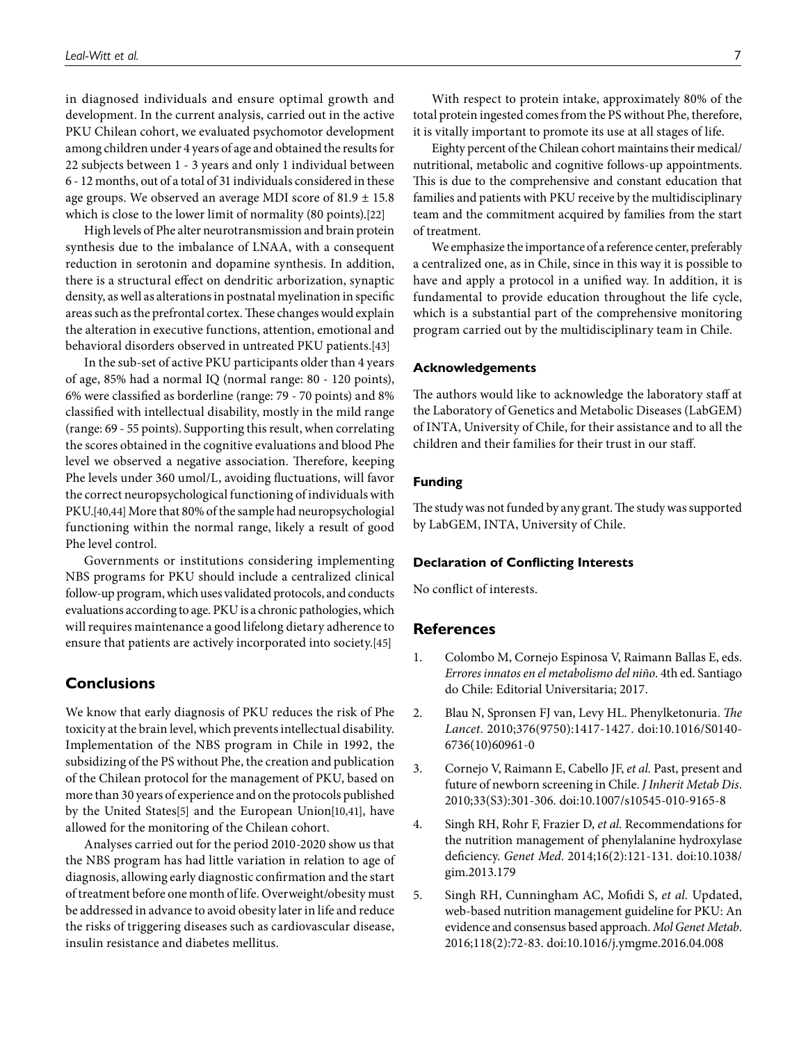in diagnosed individuals and ensure optimal growth and development. In the current analysis, carried out in the active PKU Chilean cohort, we evaluated psychomotor development among children under 4 years of age and obtained the results for 22 subjects between 1 - 3 years and only 1 individual between 6 - 12 months, out of a total of 31 individuals considered in these age groups. We observed an average MDI score of  $81.9 \pm 15.8$ which is close to the lower limit of normality (80 points).[[22\]](#page-7-12)

High levels of Phe alter neurotransmission and brain protein synthesis due to the imbalance of LNAA, with a consequent reduction in serotonin and dopamine synthesis. In addition, there is a structural effect on dendritic arborization, synaptic density, as well as alterations in postnatal myelination in specific areas such as the prefrontal cortex. These changes would explain the alteration in executive functions, attention, emotional and behavioral disorders observed in untreated PKU patients.[\[43\]](#page-8-9)

In the sub-set of active PKU participants older than 4 years of age, 85% had a normal IQ (normal range: 80 - 120 points), 6% were classified as borderline (range: 79 - 70 points) and 8% classified with intellectual disability, mostly in the mild range (range: 69 - 55 points). Supporting this result, when correlating the scores obtained in the cognitive evaluations and blood Phe level we observed a negative association. Therefore, keeping Phe levels under 360 umol/L, avoiding fluctuations, will favor the correct neuropsychological functioning of individuals with PKU.[\[40](#page-8-6)[,44\]](#page-8-10) More that 80% of the sample had neuropsychologial functioning within the normal range, likely a result of good Phe level control.

Governments or institutions considering implementing NBS programs for PKU should include a centralized clinical follow-up program, which uses validated protocols, and conducts evaluations according to age. PKU is a chronic pathologies, which will requires maintenance a good lifelong dietary adherence to ensure that patients are actively incorporated into society.[\[45\]](#page-8-11)

### **Conclusions**

We know that early diagnosis of PKU reduces the risk of Phe toxicity at the brain level, which prevents intellectual disability. Implementation of the NBS program in Chile in 1992, the subsidizing of the PS without Phe, the creation and publication of the Chilean protocol for the management of PKU, based on more than 30 years of experience and on the protocols published by the United States[[5](#page-6-3)] and the European Union[\[10,](#page-7-3)[41\]](#page-8-7), have allowed for the monitoring of the Chilean cohort.

Analyses carried out for the period 2010-2020 show us that the NBS program has had little variation in relation to age of diagnosis, allowing early diagnostic confirmation and the start of treatment before one month of life. Overweight/obesity must be addressed in advance to avoid obesity later in life and reduce the risks of triggering diseases such as cardiovascular disease, insulin resistance and diabetes mellitus.

With respect to protein intake, approximately 80% of the total protein ingested comes from the PS without Phe, therefore, it is vitally important to promote its use at all stages of life.

Eighty percent of the Chilean cohort maintains their medical/ nutritional, metabolic and cognitive follows-up appointments. This is due to the comprehensive and constant education that families and patients with PKU receive by the multidisciplinary team and the commitment acquired by families from the start of treatment.

We emphasize the importance of a reference center, preferably a centralized one, as in Chile, since in this way it is possible to have and apply a protocol in a unified way. In addition, it is fundamental to provide education throughout the life cycle, which is a substantial part of the comprehensive monitoring program carried out by the multidisciplinary team in Chile.

#### **Acknowledgements**

The authors would like to acknowledge the laboratory staff at the Laboratory of Genetics and Metabolic Diseases (LabGEM) of INTA, University of Chile, for their assistance and to all the children and their families for their trust in our staff.

#### **Funding**

The study was not funded by any grant. The study was supported by LabGEM, INTA, University of Chile.

#### **Declaration of Conflicting Interests**

No conflict of interests.

#### **References**

- 1. Colombo M, Cornejo Espinosa V, Raimann Ballas E, eds. *Errores innatos en el metabolismo del niño*. 4th ed. Santiago do Chile: Editorial Universitaria; 2017.
- <span id="page-6-0"></span>2. Blau N, Spronsen FJ van, Levy HL. Phenylketonuria. *The Lancet*. 2010;376(9750):1417-1427. doi[:10.1016/S0140-](https://doi.org/10.1016/S0140-6736(10)60961-0) [6736\(10\)60961-0](https://doi.org/10.1016/S0140-6736(10)60961-0)
- <span id="page-6-1"></span>3. Cornejo V, Raimann E, Cabello JF, *et al.* Past, present and future of newborn screening in Chile. *J Inherit Metab Dis*. 2010;33(S3):301-306. doi[:10.1007/s10545-010-9165-8](https://doi.org/10.1007/s10545-010-9165-8)
- <span id="page-6-2"></span>4. Singh RH, Rohr F, Frazier D, *et al.* Recommendations for the nutrition management of phenylalanine hydroxylase deficiency. *Genet Med*. 2014;16(2):121-131. doi[:10.1038/](https://doi.org/10.1038/gim.2013.179) [gim.2013.179](https://doi.org/10.1038/gim.2013.179)
- <span id="page-6-3"></span>5. Singh RH, Cunningham AC, Mofidi S, *et al.* Updated, web-based nutrition management guideline for PKU: An evidence and consensus based approach. *Mol Genet Metab*. 2016;118(2):72-83. doi:[10.1016/j.ymgme.2016.04.008](https://doi.org/10.1016/j.ymgme.2016.04.008)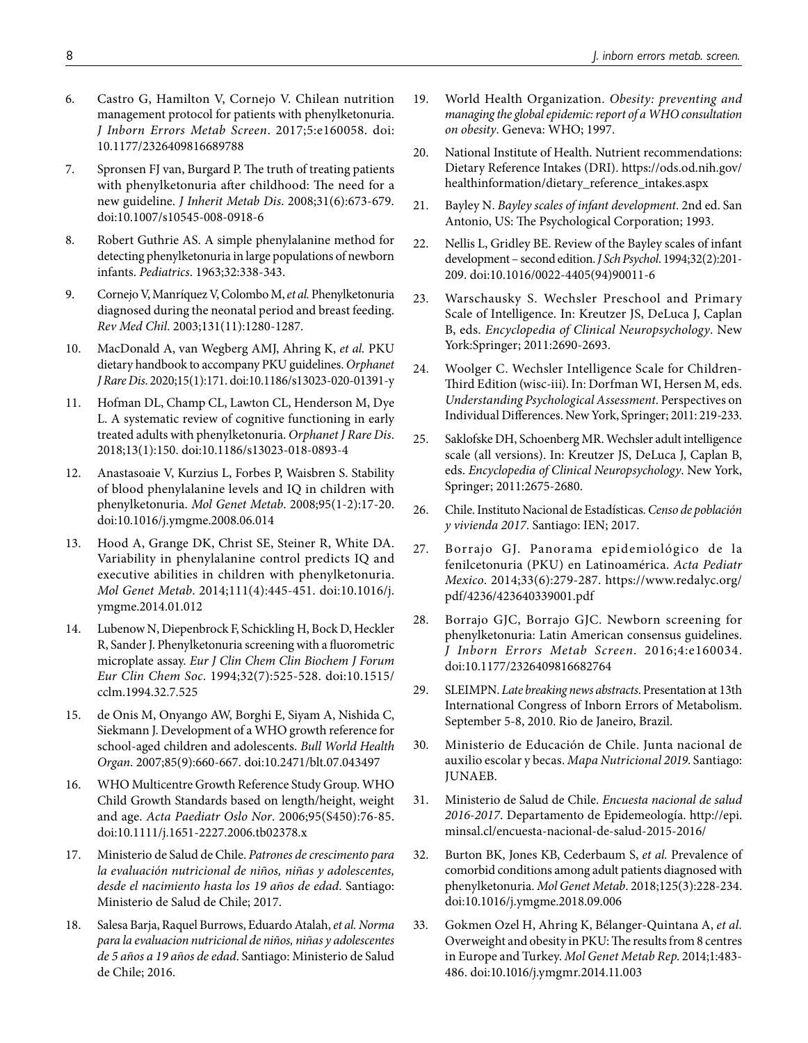- <span id="page-7-0"></span>6. Castro G, Hamilton V, Cornejo V. Chilean nutrition management protocol for patients with phenylketonuria. *J Inborn Errors Metab Screen*. 2017;5:e160058. doi: [10.1177/2326409816689788](https://doi.org/10.1177/2326409816689788)
- <span id="page-7-1"></span>7. Spronsen FJ van, Burgard P. The truth of treating patients with phenylketonuria after childhood: The need for a new guideline. *J Inherit Metab Dis*. 2008;31(6):673-679. doi:[10.1007/s10545-008-0918-6](https://doi.org/10.1007/s10545-008-0918-6)
- 8. Robert Guthrie AS. A simple phenylalanine method for detecting phenylketonuria in large populations of newborn infants. *Pediatrics*. 1963;32:338-343.
- <span id="page-7-2"></span>9. Cornejo V, Manríquez V, Colombo M, *et al.* Phenylketonuria diagnosed during the neonatal period and breast feeding. *Rev Med Chil*. 2003;131(11):1280-1287.
- <span id="page-7-3"></span>10. MacDonald A, van Wegberg AMJ, Ahring K, *et al.* PKU dietary handbook to accompany PKU guidelines. *Orphanet J Rare Dis*. 2020;15(1):171. doi:[10.1186/s13023-020-01391-y](https://doi.org/10.1186/s13023-020-01391-y)
- <span id="page-7-4"></span>11. Hofman DL, Champ CL, Lawton CL, Henderson M, Dye L. A systematic review of cognitive functioning in early treated adults with phenylketonuria. *Orphanet J Rare Dis*. 2018;13(1):150. doi:[10.1186/s13023-018-0893-4](https://doi.org/10.1186/s13023-018-0893-4)
- 12. Anastasoaie V, Kurzius L, Forbes P, Waisbren S. Stability of blood phenylalanine levels and IQ in children with phenylketonuria. *Mol Genet Metab*. 2008;95(1-2):17-20. doi:[10.1016/j.ymgme.2008.06.014](https://doi.org/10.1016/j.ymgme.2008.06.014)
- <span id="page-7-5"></span>13. Hood A, Grange DK, Christ SE, Steiner R, White DA. Variability in phenylalanine control predicts IQ and executive abilities in children with phenylketonuria. *Mol Genet Metab*. 2014;111(4):445-451. doi[:10.1016/j.](https://doi.org/10.1016/j.ymgme.2014.01.012) [ymgme.2014.01.012](https://doi.org/10.1016/j.ymgme.2014.01.012)
- <span id="page-7-6"></span>14. Lubenow N, Diepenbrock F, Schickling H, Bock D, Heckler R, Sander J. Phenylketonuria screening with a fluorometric microplate assay. *Eur J Clin Chem Clin Biochem J Forum Eur Clin Chem Soc*. 1994;32(7):525-528. doi:[10.1515/](https://doi.org/10.1515/cclm.1994.32.7.525) [cclm.1994.32.7.525](https://doi.org/10.1515/cclm.1994.32.7.525)
- <span id="page-7-7"></span>15. de Onis M, Onyango AW, Borghi E, Siyam A, Nishida C, Siekmann J. Development of a WHO growth reference for school-aged children and adolescents. *Bull World Health Organ*. 2007;85(9):660-667. doi[:10.2471/blt.07.043497](https://doi.org/10.2471/blt.07.043497)
- 16. WHO Multicentre Growth Reference Study Group. WHO Child Growth Standards based on length/height, weight and age. *Acta Paediatr Oslo Nor*. 2006;95(S450):76-85. doi:[10.1111/j.1651-2227.2006.tb02378.x](https://doi.org/10.1111/j.1651-2227.2006.tb02378.x)
- 17. Ministerio de Salud de Chile. *Patrones de crescimento para la evaluación nutricional de niños, niñas y adolescentes, desde el nacimiento hasta los 19 años de edad*. Santiago: Ministerio de Salud de Chile; 2017.
- <span id="page-7-8"></span>18. Salesa Barja, Raquel Burrows, Eduardo Atalah, *et al. Norma para la evaluacion nutricional de niños, niñas y adolescentes de 5 años a 19 años de edad*. Santiago: Ministerio de Salud de Chile; 2016.
- <span id="page-7-9"></span>19. World Health Organization. *Obesity: preventing and managing the global epidemic: report of a WHO consultation on obesity*. Geneva: WHO; 1997.
- <span id="page-7-10"></span>20. National Institute of Health. Nutrient recommendations: Dietary Reference Intakes (DRI). [https://ods.od.nih.gov/](https://ods.od.nih.gov/healthinformation/dietary_reference_intakes.aspx) [healthinformation/dietary\\_reference\\_intakes.aspx](https://ods.od.nih.gov/healthinformation/dietary_reference_intakes.aspx)
- <span id="page-7-11"></span>21. Bayley N. *Bayley scales of infant development*. 2nd ed. San Antonio, US: The Psychological Corporation; 1993.
- <span id="page-7-12"></span>22. Nellis L, Gridley BE. Review of the Bayley scales of infant development – second edition. *J Sch Psychol*. 1994;32(2):201- 209. doi[:10.1016/0022-4405\(94\)90011-6](https://doi.org/10.1016/0022-4405(94)90011-6)
- <span id="page-7-13"></span>23. Warschausky S. Wechsler Preschool and Primary Scale of Intelligence. In: Kreutzer JS, DeLuca J, Caplan B, eds. *Encyclopedia of Clinical Neuropsychology*. New York:Springer; 2011:2690-2693.
- <span id="page-7-14"></span>24. Woolger C. Wechsler Intelligence Scale for Children-Third Edition (wisc-iii). In: Dorfman WI, Hersen M, eds. *Understanding Psychological Assessment*. Perspectives on Individual Differences. New York, Springer; 2011: 219-233.
- <span id="page-7-15"></span>25. Saklofske DH, Schoenberg MR. Wechsler adult intelligence scale (all versions). In: Kreutzer JS, DeLuca J, Caplan B, eds. *Encyclopedia of Clinical Neuropsychology*. New York, Springer; 2011:2675-2680.
- <span id="page-7-16"></span>26. Chile. Instituto Nacional de Estadísticas. *Censo de población y vivienda 2017*. Santiago: IEN; 2017.
- <span id="page-7-17"></span>27. Borrajo GJ. Panorama epidemiológico de la fenilcetonuria (PKU) en Latinoamérica. *Acta Pediatr Mexico*. 2014;33(6):279-287. https://www.redalyc.org/ pdf/4236/423640339001.pdf
- <span id="page-7-18"></span>28. Borrajo GJC, Borrajo GJC. Newborn screening for phenylketonuria: Latin American consensus guidelines. *J Inborn Errors Metab Screen*. 2016;4:e160034. doi:[10.1177/2326409816682764](https://doi.org/10.1177/2326409816682764)
- <span id="page-7-19"></span>29. SLEIMPN. *Late breaking news abstracts*. Presentation at 13th International Congress of Inborn Errors of Metabolism. September 5-8, 2010. Rio de Janeiro, Brazil.
- <span id="page-7-20"></span>30. Ministerio de Educación de Chile. Junta nacional de auxilio escolar y becas. *Mapa Nutricional 2019*. Santiago: JUNAEB.
- <span id="page-7-21"></span>31. Ministerio de Salud de Chile. *Encuesta nacional de salud 2016-2017*. Departamento de Epidemeología. [http://epi.](http://epi.minsal.cl/encuesta-nacional-de-salud-2015-2016/) [minsal.cl/encuesta-nacional-de-salud-2015-2016/](http://epi.minsal.cl/encuesta-nacional-de-salud-2015-2016/)
- <span id="page-7-22"></span>32. Burton BK, Jones KB, Cederbaum S, *et al.* Prevalence of comorbid conditions among adult patients diagnosed with phenylketonuria. *Mol Genet Metab*. 2018;125(3):228-234. doi:[10.1016/j.ymgme.2018.09.006](https://doi.org/10.1016/j.ymgme.2018.09.006)
- <span id="page-7-23"></span>33. Gokmen Ozel H, Ahring K, Bélanger-Quintana A, *et al.* Overweight and obesity in PKU: The results from 8 centres in Europe and Turkey. *Mol Genet Metab Rep*. 2014;1:483- 486. doi:[10.1016/j.ymgmr.2014.11.003](https://doi.org/10.1016/j.ymgmr.2014.11.003)